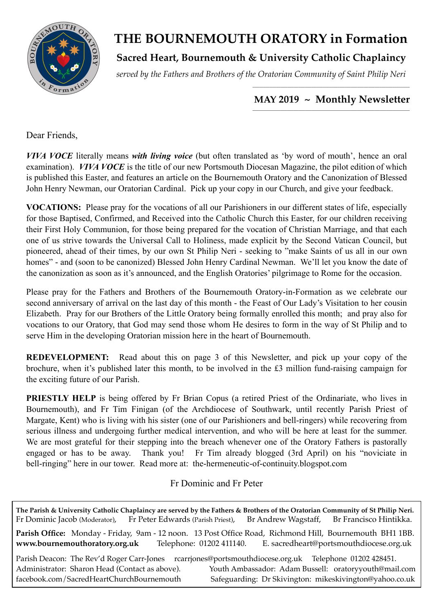

# **THE BOURNEMOUTH ORATORY in Formation**

## **Sacred Heart, Bournemouth & University Catholic Chaplaincy**

*served by the Fathers and Brothers of the Oratorian Community of Saint Philip Neri*

### *\_\_\_\_\_\_\_\_\_\_\_\_\_\_\_\_\_\_\_\_\_\_\_\_\_\_\_\_\_\_\_\_\_\_\_\_\_\_\_\_\_\_\_\_\_\_\_\_\_\_\_\_\_\_\_\_\_\_\_\_\_\_\_\_\_\_\_\_\_\_\_\_*  **MAY 2019 ~ Monthly Newsletter**

Dear Friends

*VIVA VOCE* literally means *with living voice* (but often translated as 'by word of mouth', hence an oral examination). *VIVA VOCE* is the title of our new Portsmouth Diocesan Magazine, the pilot edition of which is published this Easter, and features an article on the Bournemouth Oratory and the Canonization of Blessed John Henry Newman, our Oratorian Cardinal. Pick up your copy in our Church, and give your feedback.

**VOCATIONS:** Please pray for the vocations of all our Parishioners in our different states of life, especially for those Baptised, Confirmed, and Received into the Catholic Church this Easter, for our children receiving their First Holy Communion, for those being prepared for the vocation of Christian Marriage, and that each one of us strive towards the Universal Call to Holiness, made explicit by the Second Vatican Council, but pioneered, ahead of their times, by our own St Philip Neri - seeking to "make Saints of us all in our own homes" - and (soon to be canonized) Blessed John Henry Cardinal Newman. We'll let you know the date of the canonization as soon as it's announced, and the English Oratories' pilgrimage to Rome for the occasion.

Please pray for the Fathers and Brothers of the Bournemouth Oratory-in-Formation as we celebrate our second anniversary of arrival on the last day of this month - the Feast of Our Lady's Visitation to her cousin Elizabeth. Pray for our Brothers of the Little Oratory being formally enrolled this month; and pray also for vocations to our Oratory, that God may send those whom He desires to form in the way of St Philip and to serve Him in the developing Oratorian mission here in the heart of Bournemouth.

**REDEVELOPMENT:** Read about this on page 3 of this Newsletter, and pick up your copy of the brochure, when it's published later this month, to be involved in the £3 million fund-raising campaign for the exciting future of our Parish.

**PRIESTLY HELP** is being offered by Fr Brian Copus (a retired Priest of the Ordinariate, who lives in Bournemouth), and Fr Tim Finigan (of the Archdiocese of Southwark, until recently Parish Priest of Margate, Kent) who is living with his sister (one of our Parishioners and bell-ringers) while recovering from serious illness and undergoing further medical intervention, and who will be here at least for the summer. We are most grateful for their stepping into the breach whenever one of the Oratory Fathers is pastorally engaged or has to be away. Thank you! Fr Tim already blogged (3rd April) on his "noviciate in bell-ringing" here in our tower. Read more at: [the-hermeneutic-of-continuity.blogspot.com](http://the-hermeneutic-of-continuity.blogspot.com) 

### Fr Dominic and Fr Peter

**The Parish & University Catholic Chaplaincy are served by the Fathers & Brothers of the Oratorian Community of St Philip Neri.** Fr Dominic Jacob (Moderator), Fr Peter Edwards (Parish Priest), Br Andrew Wagstaff, Br Francisco Hintikka. **Parish Office:** Monday - Friday, 9am - 12 noon. 13 Post Office Road, Richmond Hill, Bournemouth BH1 1BB. **[www.bournemouthoratory.org.uk](http://www.bournemoithoratory.org.uk)** Telephone: 01202 411140. E. [sacredheart@portsmouthdiocese.org.uk](mailto:sacredheart@portsmouthdiocese.org.uk) Parish Deacon: The Rev'd Roger Carr-Jones [rcarrjones@portsmouthdiocese.org.uk](mailto:rcarrjones@portsmouthdiocese.org.uk) Telephone 01202 428451. Administrator: Sharon Head (Contact as above). Youth Ambassador: Adam Bussell: [oratoryyouth@mail.com](http://oratoryyouth.mail.com) [facebook.com/SacredHeartChurchBournemouth](http://facebook.com/SaccredHeartChurchBournemouth) Safeguarding: Dr Skivington: mikeskivington@yahoo.co.uk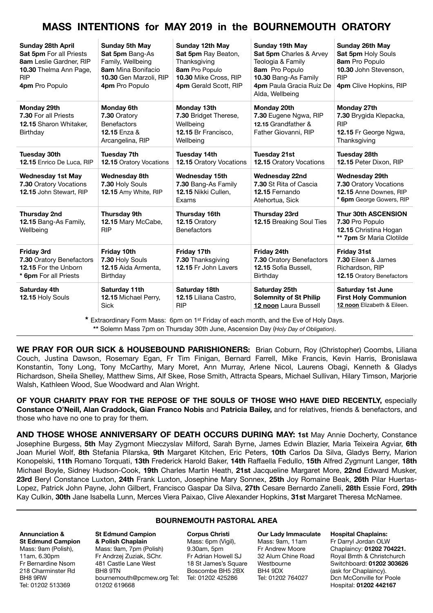## **MASS INTENTIONS for MAY 2019 in the BOURNEMOUTH ORATORY**

| <b>Sunday 28th April</b><br><b>Sat 5pm</b> For all Priests<br>8am Leslie Gardner, RIP<br>10.30 Thelma Ann Page,<br><b>RIP</b><br>4pm Pro Populo | <b>Sunday 5th May</b><br>Sat 5pm Bang-As<br>Family, Wellbeing<br>8am Mina Bonifacio<br>10.30 Gen Marzoli, RIP<br>4pm Pro Populo | Sunday 12th May<br>Sat 5pm Ray Beaton,<br>Thanksgiving<br>8am Pro Populo<br>10.30 Mike Cross, RIP<br>4pm Gerald Scott, RIP | <b>Sunday 19th May</b><br>Sat 5pm Charles & Arvey<br>Teologia & Family<br>8am Pro Populo<br>10.30 Bang-As Family<br>4pm Paula Gracia Ruiz De<br>Alda, Wellbeing | Sunday 26th May<br>Sat 5pm Holy Souls<br>8am Pro Populo<br>10.30 John Stevenson.<br><b>RIP</b><br>4pm Clive Hopkins, RIP |
|-------------------------------------------------------------------------------------------------------------------------------------------------|---------------------------------------------------------------------------------------------------------------------------------|----------------------------------------------------------------------------------------------------------------------------|-----------------------------------------------------------------------------------------------------------------------------------------------------------------|--------------------------------------------------------------------------------------------------------------------------|
| Monday 29th<br>7.30 For all Priests<br>12.15 Sharon Whitaker,<br>Birthday                                                                       | <b>Monday 6th</b><br>7.30 Oratory<br><b>Benefactors</b><br><b>12.15 Enza &amp;</b><br>Arcangelina, RIP                          | Monday 13th<br>7.30 Bridget Therese,<br>Wellbeing<br>12.15 Br Francisco.<br>Wellbeing                                      | Monday 20th<br>7.30 Eugene Ngwa, RIP<br>12.15 Grandfather &<br>Father Giovanni, RIP                                                                             | Monday 27th<br>7.30 Brygida Klepacka,<br><b>RIP</b><br>12.15 Fr George Ngwa,<br>Thanksgiving                             |
| <b>Tuesday 30th</b><br>12.15 Enrico De Luca, RIP                                                                                                | <b>Tuesday 7th</b><br><b>12.15 Oratory Vocations</b>                                                                            | <b>Tuesday 14th</b><br>12.15 Oratory Vocations                                                                             | <b>Tuesday 21st</b><br>12.15 Oratory Vocations                                                                                                                  | <b>Tuesday 28th</b><br>12.15 Peter Dixon, RIP                                                                            |
| <b>Wednesday 1st May</b><br>7.30 Oratory Vocations<br>12.15 John Stewart, RIP                                                                   | <b>Wednesday 8th</b><br>7.30 Holy Souls<br>12.15 Amy White, RIP                                                                 | <b>Wednesday 15th</b><br>7.30 Bang-As Family<br>12.15 Nikki Cullen,<br>Exams                                               | <b>Wednesday 22nd</b><br>7.30 St Rita of Cascia<br>12.15 Fernando<br>Atehortua, Sick                                                                            | Wednesday 29th<br>7.30 Oratory Vocations<br>12.15 Anne Downes, RIP<br>* 6pm George Gowers, RIP                           |
| <b>Thursday 2nd</b><br>12.15 Bang-As Family,<br>Wellbeing                                                                                       | <b>Thursday 9th</b><br>12.15 Mary McCabe,<br><b>RIP</b>                                                                         | Thursday 16th<br>12.15 Oratory<br><b>Benefactors</b>                                                                       | Thursday 23rd<br><b>12.15 Breaking Soul Ties</b>                                                                                                                | <b>Thur 30th ASCENSION</b><br>7.30 Pro Populo<br>12.15 Christina Hogan<br>** 7pm Sr Maria Clotilde                       |
| <b>Friday 3rd</b><br>7.30 Oratory Benefactors<br>12.15 For the Unborn<br>* 6pm For all Priests                                                  | Friday 10th<br>7.30 Holy Souls<br>12.15 Aida Armenta,<br>Birthday                                                               | Friday 17th<br>7.30 Thanksgiving<br>12.15 Fr John Lavers                                                                   | Friday 24th<br>7.30 Oratory Benefactors<br>12.15 Sofia Bussell.<br>Birthday                                                                                     | <b>Friday 31st</b><br>7.30 Eileen & James<br>Richardson, RIP<br><b>12.15 Oratory Benefactors</b>                         |
| Saturday 4th<br>12.15 Holy Souls                                                                                                                | Saturday 11th<br>12.15 Michael Perry.<br><b>Sick</b>                                                                            | Saturday 18th<br>12.15 Liliana Castro.<br><b>RIP</b>                                                                       | Saturday 25th<br><b>Solemnity of St Philip</b><br>12 noon Laura Bussell                                                                                         | <b>Saturday 1st June</b><br><b>First Holy Communion</b><br>12 noon Elizabeth & Eileen.                                   |

**\*** Extraordinary Form Mass: 6pm on 1st Friday of each month, and the Eve of Holy Days. **\*\*** Solemn Mass 7pm on Thursday 30th June, Ascension Day (*Holy Day of Obligation)*.

**WE PRAY FOR OUR SICK & HOUSEBOUND PARISHIONERS:** Brian Coburn, Roy (Christopher) Coombs, Liliana Couch, Justina Dawson, Rosemary Egan, Fr Tim Finigan, Bernard Farrell, Mike Francis, Kevin Harris, Bronislawa Konstantin, Tony Long, Tony McCarthy, Mary Moret, Ann Murray, Arlene Nicol, Laurens Obagi, Kenneth & Gladys Richardson, Sheila Shelley, Matthew Sims, Alf Skee, Rose Smith, Attracta Spears, Michael Sullivan, Hilary Timson, Marjorie Walsh, Kathleen Wood, Sue Woodward and Alan Wright.

**OF YOUR CHARITY PRAY FOR THE REPOSE OF THE SOULS OF THOSE WHO HAVE DIED RECENTLY,** especially **Constance O'Neill, Alan Craddock, Gian Franco Nobis** and **Patricia Bailey,** and for relatives, friends & benefactors, and those who have no one to pray for them.

**AND THOSE WHOSE ANNIVERSARY OF DEATH OCCURS DURING MAY: 1st** May Annie Docherty, Constance Josephine Burgess, **5th** May Zygmont Mieczyslav Milford, Sarah Byrne, James Edwin Blazier, Maria Teixeira Agviar, **6th** Joan Muriel Wolf, **8th** Stefania Pilarska, **9th** Margaret Kitchen, Eric Peters, **10th** Carlos Da Silva, Gladys Berry, Marion Konopelski, **11th** Romano Torquati, **13th** Frederick Harold Baker, **14th** Raffaella Fedullo, **15th** Alfred Zygmunt Langer, **18th** Michael Boyle, Sidney Hudson-Cook, **19th** Charles Martin Heath, **21st** Jacqueline Margaret More, **22nd** Edward Musker, **23rd** Beryl Constance Luxton, **24th** Frank Luxton, Josephine Mary Sonnex, **25th** Joy Romaine Beak, **26th** Pilar Huertas-Lopez, Patrick John Payne, John Gilbert, Francisco Gaspar Da Silva, **27th** Cesare Bernardo Zanelli, **28th** Essie Ford, **29th** Kay Culkin, **30th** Jane Isabella Lunn, Merces Viera Paixao, Clive Alexander Hopkins, **31st** Margaret Theresa McNamee.

**Annunciation & St Edmund Campion**  Mass: 9am (Polish), 11am, 6.30pm Fr Bernardine Nsom 218 Charminster Rd BH8 9RW Tel: 01202 513369

**St Edmund Campion & Polish Chaplain** Mass: 9am, 7pm (Polish) Fr Andrzej Zuziak, SChr. 481 Castle Lane West BH8 9TN

[bournemouth@pcmew.org](mailto:bournemouth@pcmew.org) Tel: Tel: 01202 425286 01202 619668

#### **BOURNEMOUTH PASTORAL AREA**

**Corpus Christi**  Mass: 6pm (Vigil), 9.30am, 5pm Fr Adrian Howell SJ 18 St James's Square Boscombe BH5 2BX

**Our Lady Immaculate**  Mass: 9am, 11am Fr Andrew Moore 32 Alum Chine Road Westbourne BH4 9DX Tel: 01202 764027

**Hospital Chaplains:**  Fr Darryl Jordan OLW Chaplaincy: **01202 704221.** Royal Bmth & Christchurch Switchboard: **01202 303626** (ask for Chaplaincy). Dcn McConville for Poole Hospital: **01202 442167**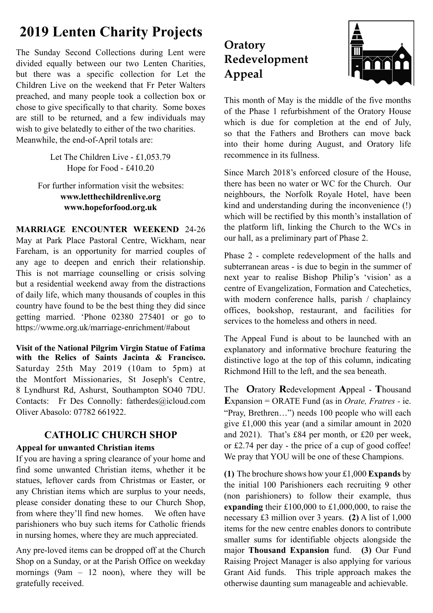# **2019 Lenten Charity Projects**

The Sunday Second Collections during Lent were divided equally between our two Lenten Charities, but there was a specific collection for Let the Children Live on the weekend that Fr Peter Walters preached, and many people took a collection box or chose to give specifically to that charity. Some boxes are still to be returned, and a few individuals may wish to give belatedly to either of the two charities. Meanwhile, the end-of-April totals are:

> Let The Children Live - £1,053.79 Hope for Food - £410.20

For further information visit the websites: **www.letthechildrenlive.org [www.hopeforfood.org.uk](http://www.hopeforfood.org.uk)**

**MARRIAGE ENCOUNTER WEEKEND** 24-26 May at Park Place Pastoral Centre, Wickham, near Fareham, is an opportunity for married couples of any age to deepen and enrich their relationship. This is not marriage counselling or crisis solving but a residential weekend away from the distractions of daily life, which many thousands of couples in this country have found to be the best thing they did since getting married. 'Phone 02380 275401 or go to <https://wwme.org.uk/marriage-enrichment/#about>

**Visit of the National Pilgrim Virgin Statue of Fatima with the Relics of Saints Jacinta & Francisco.**  Saturday 25th May 2019 (10am to 5pm) at the Montfort Missionaries, St Joseph's Centre, 8 Lyndhurst Rd, Ashurst, Southampton SO40 7DU. Contacts: Fr Des Connolly: [fatherdes@icloud.com](mailto:fatherdes@icloud.com) Oliver Abasolo: 07782 661922.

### **CATHOLIC CHURCH SHOP**

### **Appeal for unwanted Christian items**

If you are having a spring clearance of your home and find some unwanted Christian items, whether it be statues, leftover cards from Christmas or Easter, or any Christian items which are surplus to your needs, please consider donating these to our Church Shop, from where they'll find new homes. We often have parishioners who buy such items for Catholic friends in nursing homes, where they are much appreciated.

Any pre-loved items can be dropped off at the Church Shop on a Sunday, or at the Parish Office on weekday mornings (9am  $-12$  noon), where they will be gratefully received.

# **Oratory Redevelopment Appeal**



This month of May is the middle of the five months of the Phase 1 refurbishment of the Oratory House which is due for completion at the end of July, so that the Fathers and Brothers can move back into their home during August, and Oratory life recommence in its fullness.

Since March 2018's enforced closure of the House, there has been no water or WC for the Church. Our neighbours, the Norfolk Royale Hotel, have been kind and understanding during the inconvenience (!) which will be rectified by this month's installation of the platform lift, linking the Church to the WCs in our hall, as a preliminary part of Phase 2.

Phase 2 - complete redevelopment of the halls and subterranean areas - is due to begin in the summer of next year to realise Bishop Philip's 'vision' as a centre of Evangelization, Formation and Catechetics, with modern conference halls, parish / chaplaincy offices, bookshop, restaurant, and facilities for services to the homeless and others in need.

The Appeal Fund is about to be launched with an explanatory and informative brochure featuring the distinctive logo at the top of this column, indicating Richmond Hill to the left, and the sea beneath.

The **O**ratory **R**edevelopment **A**ppeal - **T**housand **E**xpansion = ORATE Fund (as in *Orate, Fratres -* ie. "Pray, Brethren…") needs 100 people who will each give £1,000 this year (and a similar amount in 2020 and 2021). That's £84 per month, or £20 per week, or £2.74 per day - the price of a cup of good coffee! We pray that YOU will be one of these Champions.

**(1)** The brochure shows how your £1,000 **Expands** by the initial 100 Parishioners each recruiting 9 other (non parishioners) to follow their example, thus **expanding** their £100,000 to £1,000,000, to raise the necessary £3 million over 3 years. **(2)** A list of 1,000 items for the new centre enables donors to contribute smaller sums for identifiable objects alongside the major **Thousand Expansion** fund. **(3)** Our Fund Raising Project Manager is also applying for various Grant Aid funds. This triple approach makes the otherwise daunting sum manageable and achievable.